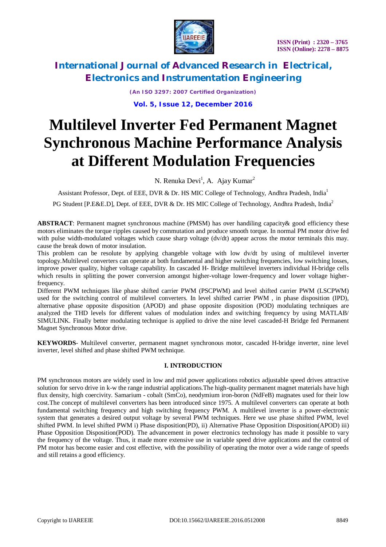

*(An ISO 3297: 2007 Certified Organization)* **Vol. 5, Issue 12, December 2016**

# **Multilevel Inverter Fed Permanent Magnet Synchronous Machine Performance Analysis at Different Modulation Frequencies**

N. Renuka Devi<sup>1</sup>, A. Ajay Kumar<sup>2</sup>

Assistant Professor, Dept. of EEE, DVR & Dr. HS MIC College of Technology, Andhra Pradesh, India<sup>1</sup>

PG Student [P.E&E.D], Dept. of EEE, DVR & Dr. HS MIC College of Technology, Andhra Pradesh, India<sup>2</sup>

**ABSTRACT**: Permanent magnet synchronous machine (PMSM) has over handiling capacity& good efficiency these motors eliminates the torque ripples caused by commutation and produce smooth torque. In normal PM motor drive fed with pulse width-modulated voltages which cause sharp voltage (dv/dt) appear across the motor terminals this may. cause the break down of motor insulation.

This problem can be resolute by applying changeble voltage with low dv/dt by using of multilevel inverter topology.Multilevel converters can operate at both fundamental and higher switching frequencies, low switching losses, improve power quality, higher voltage capability. In cascaded H- Bridge multilevel inverters individual H-bridge cells which results in splitting the power conversion amongst higher-voltage lower-frequency and lower voltage higherfrequency.

Different PWM techniques like phase shifted carrier PWM (PSCPWM) and level shifted carrier PWM (LSCPWM) used for the switching control of multilevel converters. In level shifted carrier PWM , in phase disposition (IPD), alternative phase opposite disposition (APOD) and phase opposite disposition (POD) modulating techniques are analyzed the THD levels for different values of modulation index and switching frequency by using MATLAB/ SIMULINK. Finally better modulating technique is applied to drive the nine level cascaded-H Bridge fed Permanent Magnet Synchronous Motor drive.

**KEYWORDS**- Multilevel converter, permanent magnet synchronous motor, cascaded H-bridge inverter, nine level inverter, level shifted and phase shifted PWM technique.

### **I. INTRODUCTION**

PM synchronous motors are widely used in low and mid power applications robotics adjustable speed drives attractive solution for servo drive in k-w the range industrial applications. The high-quality permanent magnet materials have high flux density, high coercivity. Samarium - cobalt (SmCo), neodymium iron-boron (NdFeB) magnates used for their low cost.The concept of multilevel converters has been introduced since 1975. A multilevel converters can operate at both fundamental switching frequency and high switching frequency PWM. A multilevel inverter is a power-electronic system that generates a desired output voltage by several PWM techniques. Here we use phase shifted PWM, level shifted PWM. In level shifted PWM i) Phase disposition(PD), ii) Alternative Phase Opposition Disposition(APOD) iii) Phase Opposition Disposition(POD). The advancement in power electronics technology has made it possible to vary the frequency of the voltage. Thus, it made more extensive use in variable speed drive applications and the control of PM motor has become easier and cost effective, with the possibility of operating the motor over a wide range of speeds and still retains a good efficiency.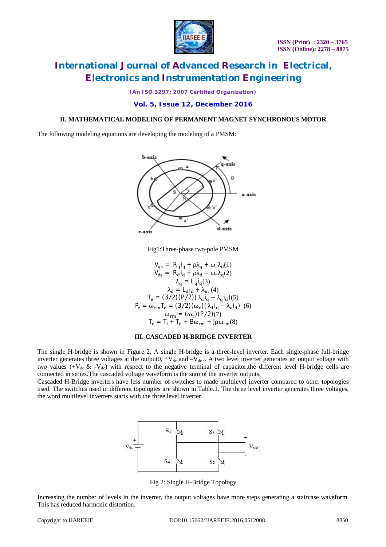

*(An ISO 3297: 2007 Certified Organization)*

### **Vol. 5, Issue 12, December 2016**

#### **II. MATHEMATICAL MODELING OF PERMANENT MAGNET SYNCHRONOUS MOTOR**

The following modeling equations are developing the modeling of a PMSM:



Fig1:Three-phase two-pole PMSM

$$
V_{qs} = R_{q}i_{q} + \rho \lambda_{q} + \omega_{r} \lambda_{d}(1)
$$
  
\n
$$
V_{ds} = R_{d}i_{d} + \rho \lambda_{d} - \omega_{r} \lambda_{q}(2)
$$
  
\n
$$
\lambda_{q} = L_{q}i_{q}(3)
$$
  
\n
$$
\lambda_{d} = L_{d}i_{d} + \lambda_{m}(4)
$$
  
\n
$$
T_{e} = (3/2)(P/2)(\lambda_{d}i_{q} - \lambda_{q}i_{d})(5)
$$
  
\n
$$
P_{e} = \omega_{rm}T_{e} = (3/2)(\omega_{r})(\lambda_{d}i_{q} - \lambda_{q}i_{d})
$$
 (6)  
\n
$$
\omega_{rm} = (\omega_{r})(P/2)(7)
$$
  
\n
$$
T_{e} = T_{1} + T_{d} + B\omega_{rm} + J\rho \omega_{rm}(8)
$$

#### **III. CASCADED H-BRIDGE INVERTER**

The single H-bridge is shown in Figure 2. A single H-bridge is a three-level inverter. Each single-phase full-bridge inverter generates three voltages at the output0,  $+V_{dc}$  and  $-V_{dc}$ ... A two level inverter generates an output voltage with two values  $(+V_{dc} & -V_{dc})$  with respect to the negative terminal of capacitor.the different level H-bridge cells are connected in series.The cascaded voltage waveform is the sum of the inverter outputs.

Cascaded H-Bridge inverters have less number of switches to made multilevel inverter compared to other topologies used. The switches used in different topologies are shown in Table.1. The three level inverter generates three voltages, the word multilevel inverters starts with the three level inverter.



Fig 2: Single H-Bridge Topology

Increasing the number of levels in the inverter, the output voltages have more steps generating a staircase waveform. This has reduced harmonic distortion.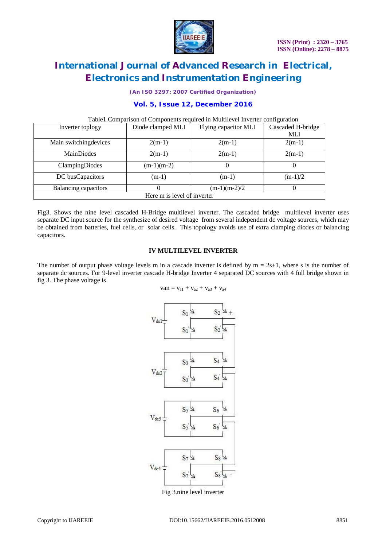

*(An ISO 3297: 2007 Certified Organization)*

### **Vol. 5, Issue 12, December 2016**

| Inverter toplogy            | Diode clamped MLI | Flying capacitor MLI | Cascaded H-bridge |  |
|-----------------------------|-------------------|----------------------|-------------------|--|
|                             |                   |                      | MLI               |  |
| Main switchingdevices       | $2(m-1)$          | $2(m-1)$             | $2(m-1)$          |  |
| MainDiodes                  | $2(m-1)$          | $2(m-1)$             | $2(m-1)$          |  |
| ClampingDiodes              | $(m-1)(m-2)$      |                      | $\theta$          |  |
| DC busCapacitors            | $(m-1)$           | $(m-1)$              | $(m-1)/2$         |  |
| Balancing capacitors        |                   | $(m-1)(m-2)/2$       |                   |  |
| Here m is level of inverter |                   |                      |                   |  |

Table1.Comparison of Components required in Multilevel Inverter configuration

Fig3. Shows the nine level cascaded H-Bridge multilevel inverter. The cascaded bridge multilevel inverter uses separate DC input source for the synthesize of desired voltage from several independent dc voltage sources, which may be obtained from batteries, fuel cells, or solar cells. This topology avoids use of extra clamping diodes or balancing capacitors.

#### **IV MULTILEVEL INVERTER**

The number of output phase voltage levels m in a cascade inverter is defined by  $m = 2s+1$ , where s is the number of separate dc sources. For 9-level inverter cascade H-bridge Inverter 4 separated DC sources with 4 full bridge shown in fig 3. The phase voltage is

$$
van = v_{a1} + v_{a2} + v_{a3} + v_{a4} \\
$$

| $V_{dc1}$ | $S_1$ | $S_2$ |
|-----------|-------|-------|
| $V_{dc2}$ | $S_3$ | $S_4$ |
| $V_{dc2}$ | $S_3$ | $S_4$ |
| $V_{dc3}$ | $S_5$ | $S_6$ |
| $V_{dc4}$ | $S_7$ | $S_8$ |
| $V_{dc4}$ | $S_7$ | $S_8$ |

Fig 3.nine level inverter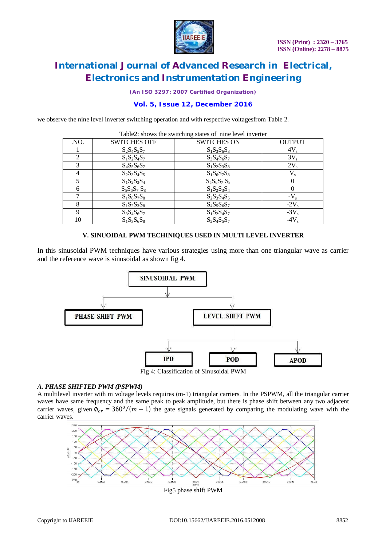

*(An ISO 3297: 2007 Certified Organization)*

### **Vol. 5, Issue 12, December 2016**

we observe the nine level inverter switching operation and with respective voltagesfrom Table 2.

| Table2: shows the switching states of nine level inverter |                     |                    |               |  |  |
|-----------------------------------------------------------|---------------------|--------------------|---------------|--|--|
| .NO.                                                      | <b>SWITCHES OFF</b> | <b>SWITCHES ON</b> | <b>OUTPUT</b> |  |  |
|                                                           | $S_2S_4S_5S_7$      | $S_1S_3S_6S_8$     | $4V_s$        |  |  |
| $\overline{2}$                                            | $S_1S_2S_4S_7$      | $S_3S_4S_6S_7$     | $3V_s$        |  |  |
| 3                                                         | $S_4S_5S_6S_7$      | $S_1S_2S_3S_8$     | $2V_{\rm s}$  |  |  |
| 4                                                         | $S_2S_3S_4S_5$      | $S_1S_6S_7S_8$     | $\rm V_s$     |  |  |
| 5                                                         | $S_1S_2S_3S_4$      | $S_5S_6S_7S_8$     |               |  |  |
| 6                                                         | $S_5S_6S_7S_8$      | $S_1S_2S_3S_4$     | 0             |  |  |
|                                                           | $S_1S_6S_7S_8$      | $S_2S_3S_4S_5$     | $-V_{s}$      |  |  |
| 8                                                         | $S_1S_2S_3S_8$      | $S_4S_5S_6S_7$     | $-2V_s$       |  |  |
| 9                                                         | $S_3S_4S_6S_7$      | $S_1S_2S_4S_7$     | $-3V_s$       |  |  |
| 10                                                        | $S_1S_3S_6S_8$      | $S_2S_4S_5S_7$     | $-4V_s$       |  |  |

Table2: shows the switching states of nine level inverter

#### **V. SINUOIDAL PWM TECHINIQUES USED IN MULTI LEVEL INVERTER**

In this sinusoidal PWM techniques have various strategies using more than one triangular wave as carrier and the reference wave is sinusoidal as shown fig 4.



#### *A. PHASE SHIFTED PWM (PSPWM)*

A multilevel inverter with m voltage levels requires (m-1) triangular carriers. In the PSPWM, all the triangular carrier waves have same frequency and the same peak to peak amplitude, but there is phase shift between any two adjacent carrier waves, given  $\phi_{cr} = 360^{\circ}/(m - 1)$  the gate signals generated by comparing the modulating wave with the carrier waves.

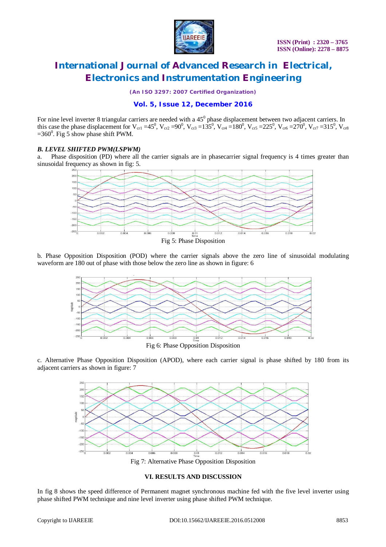

*(An ISO 3297: 2007 Certified Organization)*

### **Vol. 5, Issue 12, December 2016**

For nine level inverter 8 triangular carriers are needed with a  $45^0$  phase displacement between two adjacent carriers. In this case the phase displacement for  $V_{\text{cr1}} = 45^{\circ}$ ,  $V_{\text{cr2}} = 90^{\circ}$ ,  $V_{\text{cr3}} = 135^{\circ}$ ,  $V_{\text{cr4}} = 180^{\circ}$ ,  $V_{\text{cr5}} = 225^{\circ}$ ,  $V_{\text{cr6}} = 270^{\circ}$ ,  $V_{\text{cr7}} = 315^{\circ}$ ,  $V_{\text{cr8}}$  $=360^0$ . Fig 5 show phase shift PWM.

#### *B. LEVEL SHIFTED PWM(LSPWM)*

a. Phase disposition (PD) where all the carrier signals are in phasecarrier signal frequency is 4 times greater than sinusoidal frequency as shown in fig: 5.



b. Phase Opposition Disposition (POD) where the carrier signals above the zero line of sinusoidal modulating waveform are 180 out of phase with those below the zero line as shown in figure: 6



c. Alternative Phase Opposition Disposition (APOD), where each carrier signal is phase shifted by 180 from its adjacent carriers as shown in figure: 7



Fig 7: Alternative Phase Opposition Disposition

#### **VI. RESULTS AND DISCUSSION**

In fig 8 shows the speed difference of Permanent magnet synchronous machine fed with the five level inverter using phase shifted PWM technique and nine level inverter using phase shifted PWM technique.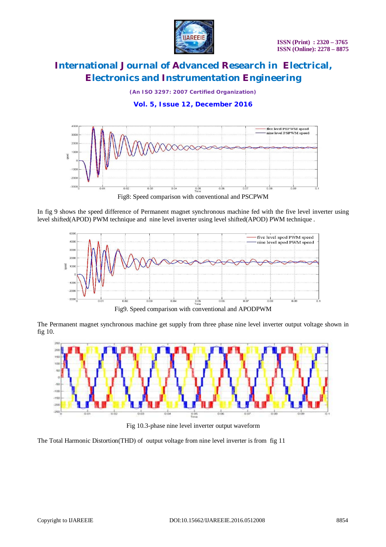

*(An ISO 3297: 2007 Certified Organization)*

### **Vol. 5, Issue 12, December 2016**



Fig8: Speed comparison with conventional and PSCPWM

In fig 9 shows the speed difference of Permanent magnet synchronous machine fed with the five level inverter using level shifted(APOD) PWM technique and nine level inverter using level shifted(APOD) PWM technique .



The Permanent magnet synchronous machine get supply from three phase nine level inverter output voltage shown in fig 10.



Fig 10.3-phase nine level inverter output waveform

The Total Harmonic Distortion(THD) of output voltage from nine level inverter is from fig 11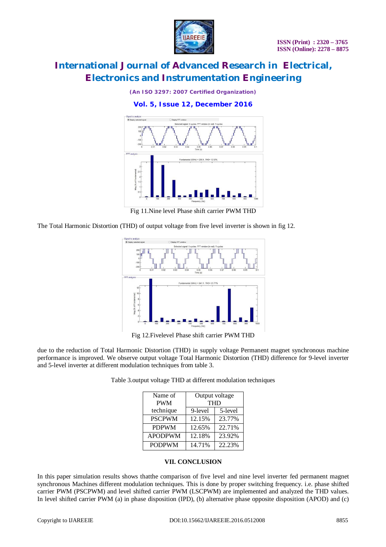

*(An ISO 3297: 2007 Certified Organization)*

**Vol. 5, Issue 12, December 2016**



Fig 11.Nine level Phase shift carrier PWM THD

The Total Harmonic Distortion (THD) of output voltage from five level inverter is shown in fig 12.



Fig 12.Fivelevel Phase shift carrier PWM THD

due to the reduction of Total Harmonic Distortion (THD) in supply voltage Permanent magnet synchronous machine performance is improved. We observe output voltage Total Harmonic Distortion (THD) difference for 9-level inverter and 5-level inverter at different modulation techniques from table 3.

| Name of        | Output voltage |         |  |
|----------------|----------------|---------|--|
| <b>PWM</b>     | <b>THD</b>     |         |  |
| technique      | 9-level        | 5-level |  |
| <b>PSCPWM</b>  | 12.15%         | 23.77%  |  |
| <b>PDPWM</b>   | 12.65%         | 22.71%  |  |
| <b>APODPWM</b> | 12.18%         | 23.92%  |  |
| <b>PODPWM</b>  | 14.71%         | 22.23%  |  |

Table 3.output voltage THD at different modulation techniques

#### **VII. CONCLUSION**

In this paper simulation results shows thatthe comparison of five level and nine level inverter fed permanent magnet synchronous Machines different modulation techniques. This is done by proper switching frequency. i.e. phase shifted carrier PWM (PSCPWM) and level shifted carrier PWM (LSCPWM) are implemented and analyzed the THD values. In level shifted carrier PWM (a) in phase disposition (IPD), (b) alternative phase opposite disposition (APOD) and (c)